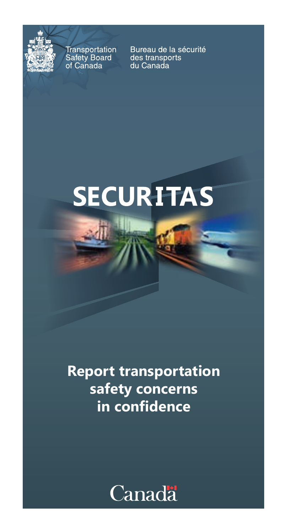

Transportation **Transportation**<br>Safety Board<br>of Canada

Bureau de la sécurité des transports du Canada

## **SECURITAS**

## **Report transportation safety concerns in confidence**

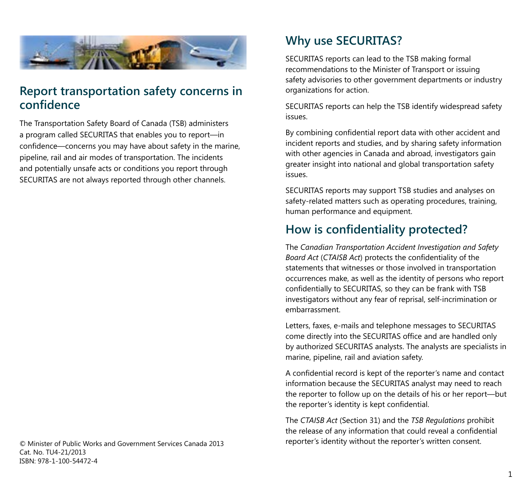

#### **Report transportation safety concerns in confidence**

The Transportation Safety Board of Canada (TSB) administers a program called SECURITAS that enables you to report—in confidence—concerns you may have about safety in the marine, pipeline, rail and air modes of transportation. The incidents and potentially unsafe acts or conditions you report through SECURITAS are not always reported through other channels.

© Minister of Public Works and Government Services Canada 2013 Cat. No. TU4-21/2013 ISBN: 978-1-100-54472-4

## **Why use SECURITAS?**

SECURITAS reports can lead to the TSB making formal recommendations to the Minister of Transport or issuing safety advisories to other government departments or industry organizations for action.

SECURITAS reports can help the TSB identify widespread safety issues.

By combining confidential report data with other accident and incident reports and studies, and by sharing safety information with other agencies in Canada and abroad, investigators gain greater insight into national and global transportation safety issues.

SECURITAS reports may support TSB studies and analyses on safety-related matters such as operating procedures, training, human performance and equipment.

### **How is confidentiality protected?**

The *Canadian Transportation Accident Investigation and Safety Board Act* (*CTAISB Act*) protects the confidentiality of the statements that witnesses or those involved in transportation occurrences make, as well as the identity of persons who report confidentially to SECURITAS, so they can be frank with TSB investigators without any fear of reprisal, self-incrimination or embarrassment.

Letters, faxes, e-mails and telephone messages to SECURITAS come directly into the SECURITAS office and are handled only by authorized SECURITAS analysts. The analysts are specialists in marine, pipeline, rail and aviation safety.

A confidential record is kept of the reporter's name and contact information because the SECURITAS analyst may need to reach the reporter to follow up on the details of his or her report—but the reporter's identity is kept confidential.

The *CTAISB Act* (Section 31) and the *TSB Regulations* prohibit the release of any information that could reveal a confidential reporter's identity without the reporter's written consent.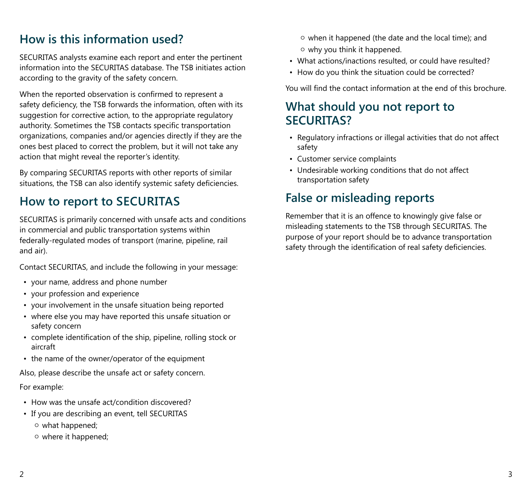### **How is this information used?**

SECURITAS analysts examine each report and enter the pertinent information into the SECURITAS database. The TSB initiates action according to the gravity of the safety concern.

When the reported observation is confirmed to represent a safety deficiency, the TSB forwards the information, often with its suggestion for corrective action, to the appropriate regulatory authority. Sometimes the TSB contacts specific transportation organizations, companies and/or agencies directly if they are the ones best placed to correct the problem, but it will not take any action that might reveal the reporter's identity.

By comparing SECURITAS reports with other reports of similar situations, the TSB can also identify systemic safety deficiencies.

#### **How to report to SECURITAS**

SECURITAS is primarily concerned with unsafe acts and conditions in commercial and public transportation systems within federally-regulated modes of transport (marine, pipeline, rail and air).

Contact SECURITAS, and include the following in your message:

- your name, address and phone number
- your profession and experience
- your involvement in the unsafe situation being reported
- where else you may have reported this unsafe situation or safety concern
- complete identification of the ship, pipeline, rolling stock or aircraft
- the name of the owner/operator of the equipment

Also, please describe the unsafe act or safety concern.

#### For example:

- How was the unsafe act/condition discovered?
- If you are describing an event, tell SECURITAS ○ what happened;
	- where it happened;
- when it happened (the date and the local time); and ○ why you think it happened.
- What actions/inactions resulted, or could have resulted?
- How do you think the situation could be corrected?

You will find the contact information at the end of this brochure.

#### **What should you not report to SECURITAS?**

- Regulatory infractions or illegal activities that do not affect safety
- Customer service complaints
- Undesirable working conditions that do not affect transportation safety

### **False or misleading reports**

Remember that it is an offence to knowingly give false or misleading statements to the TSB through SECURITAS. The purpose of your report should be to advance transportation safety through the identification of real safety deficiencies.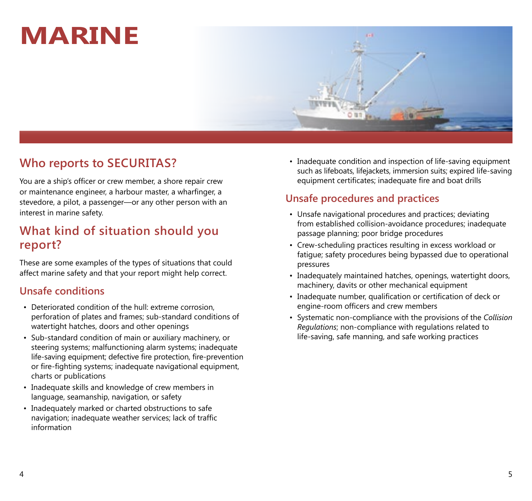## **Marine**



## **Who reports to SECURITAS?**

You are a ship's officer or crew member, a shore repair crew or maintenance engineer, a harbour master, a wharfinger, a stevedore, a pilot, a passenger—or any other person with an interest in marine safety.

### **What kind of situation should you report?**

These are some examples of the types of situations that could affect marine safety and that your report might help correct.

#### **Unsafe conditions**

- Deteriorated condition of the hull: extreme corrosion, perforation of plates and frames; sub-standard conditions of watertight hatches, doors and other openings
- Sub-standard condition of main or auxiliary machinery, or steering systems; malfunctioning alarm systems; inadequate life-saving equipment; defective fire protection, fire-prevention or fire-fighting systems; inadequate navigational equipment, charts or publications
- Inadequate skills and knowledge of crew members in language, seamanship, navigation, or safety
- Inadequately marked or charted obstructions to safe navigation; inadequate weather services; lack of traffic information

• Inadequate condition and inspection of life-saving equipment such as lifeboats, lifejackets, immersion suits; expired life-saving equipment certificates; inadequate fire and boat drills

- Unsafe navigational procedures and practices; deviating from established collision-avoidance procedures; inadequate passage planning; poor bridge procedures
- Crew-scheduling practices resulting in excess workload or fatigue; safety procedures being bypassed due to operational pressures
- Inadequately maintained hatches, openings, watertight doors, machinery, davits or other mechanical equipment
- Inadequate number, qualification or certification of deck or engine-room officers and crew members
- Systematic non-compliance with the provisions of the *Collision Regulations*; non-compliance with regulations related to life-saving, safe manning, and safe working practices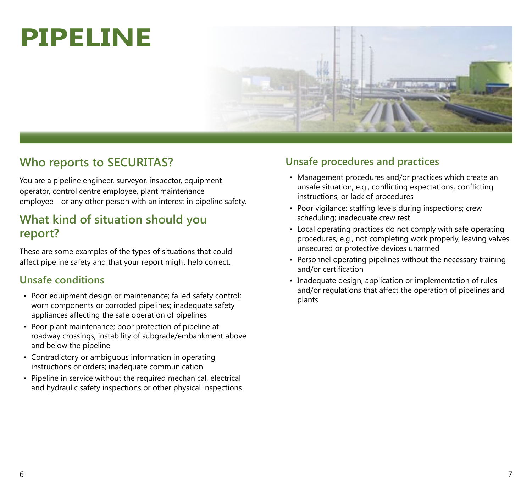## **Pipeline**



## **Who reports to SECURITAS?**

You are a pipeline engineer, surveyor, inspector, equipment operator, control centre employee, plant maintenance employee—or any other person with an interest in pipeline safety.

### **What kind of situation should you report?**

These are some examples of the types of situations that could affect pipeline safety and that your report might help correct.

#### **Unsafe conditions**

- Poor equipment design or maintenance; failed safety control; worn components or corroded pipelines; inadequate safety appliances affecting the safe operation of pipelines
- Poor plant maintenance; poor protection of pipeline at roadway crossings; instability of subgrade/embankment above and below the pipeline
- Contradictory or ambiguous information in operating instructions or orders; inadequate communication
- Pipeline in service without the required mechanical, electrical and hydraulic safety inspections or other physical inspections

- Management procedures and/or practices which create an unsafe situation, e.g., conflicting expectations, conflicting instructions, or lack of procedures
- Poor vigilance: staffing levels during inspections; crew scheduling; inadequate crew rest
- Local operating practices do not comply with safe operating procedures, e.g., not completing work properly, leaving valves unsecured or protective devices unarmed
- Personnel operating pipelines without the necessary training and/or certification
- Inadequate design, application or implementation of rules and/or regulations that affect the operation of pipelines and plants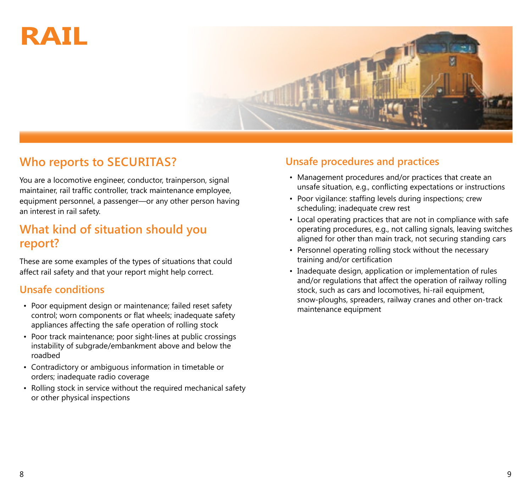# **Rail**



## **Who reports to SECURITAS?**

You are a locomotive engineer, conductor, trainperson, signal maintainer, rail traffic controller, track maintenance employee, equipment personnel, a passenger—or any other person having an interest in rail safety.

#### **What kind of situation should you report?**

These are some examples of the types of situations that could affect rail safety and that your report might help correct.

#### **Unsafe conditions**

- Poor equipment design or maintenance; failed reset safety control; worn components or flat wheels; inadequate safety appliances affecting the safe operation of rolling stock
- Poor track maintenance; poor sight-lines at public crossings instability of subgrade/embankment above and below the roadbed
- Contradictory or ambiguous information in timetable or orders; inadequate radio coverage
- Rolling stock in service without the required mechanical safety or other physical inspections

- Management procedures and/or practices that create an unsafe situation, e.g., conflicting expectations or instructions
- Poor vigilance: staffing levels during inspections; crew scheduling; inadequate crew rest
- Local operating practices that are not in compliance with safe operating procedures, e.g., not calling signals, leaving switches aligned for other than main track, not securing standing cars
- Personnel operating rolling stock without the necessary training and/or certification
- Inadequate design, application or implementation of rules and/or regulations that affect the operation of railway rolling stock, such as cars and locomotives, hi-rail equipment, snow-ploughs, spreaders, railway cranes and other on-track maintenance equipment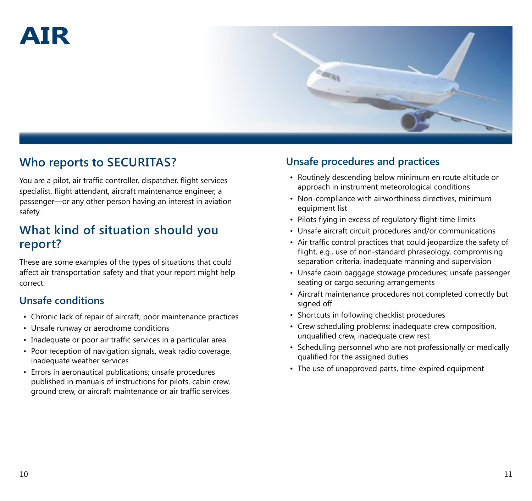## **Air**



## **Who reports to SECURITAS?**

You are a pilot, air traffic controller, dispatcher, flight services specialist, flight attendant, aircraft maintenance engineer, a passenger—or any other person having an interest in aviation safety.

### **What kind of situation should you report?**

These are some examples of the types of situations that could affect air transportation safety and that your report might help correct.

#### **Unsafe conditions**

- Chronic lack of repair of aircraft, poor maintenance practices
- Unsafe runway or aerodrome conditions
- Inadequate or poor air traffic services in a particular area
- Poor reception of navigation signals, weak radio coverage, inadequate weather services
- Errors in aeronautical publications; unsafe procedures published in manuals of instructions for pilots, cabin crew, ground crew, or aircraft maintenance or air traffic services

- Routinely descending below minimum en route altitude or approach in instrument meteorological conditions
- Non-compliance with airworthiness directives, minimum equipment list
- Pilots flying in excess of regulatory flight-time limits
- Unsafe aircraft circuit procedures and/or communications
- Air traffic control practices that could jeopardize the safety of flight, e.g., use of non-standard phraseology, compromising separation criteria, inadequate manning and supervision
- Unsafe cabin baggage stowage procedures; unsafe passenger seating or cargo securing arrangements
- Aircraft maintenance procedures not completed correctly but signed off
- Shortcuts in following checklist procedures
- Crew scheduling problems: inadequate crew composition, unqualified crew, inadequate crew rest
- Scheduling personnel who are not professionally or medically qualified for the assigned duties
- The use of unapproved parts, time-expired equipment